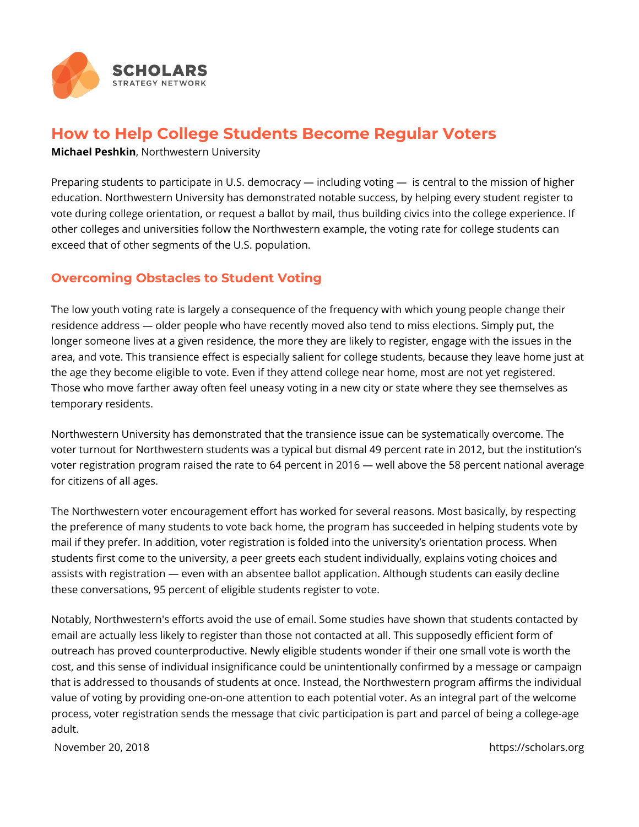

## **How to Help College Students Become Regular Voters**

**Michael Peshkin**, Northwestern University

Preparing students to participate in U.S. democracy — including voting — is central to the mission of higher education. Northwestern University has demonstrated notable success, by helping every student register to vote during college orientation, or request a ballot by mail, thus building civics into the college experience. If other colleges and universities follow the Northwestern example, the voting rate for college students can exceed that of other segments of the U.S. population.

## **Overcoming Obstacles to Student Voting**

The low youth voting rate is largely a consequence of the frequency with which young people change their residence address — older people who have recently moved also tend to miss elections. Simply put, the longer someone lives at a given residence, the more they are likely to register, engage with the issues in the area, and vote. This transience effect is especially salient for college students, because they leave home just at the age they become eligible to vote. Even if they attend college near home, most are not yet registered. Those who move farther away often feel uneasy voting in a new city or state where they see themselves as temporary residents.

Northwestern University has demonstrated that the transience issue can be systematically overcome. The voter turnout for Northwestern students was a typical but dismal 49 percent rate in 2012, but the institution's voter registration program raised the rate to 64 percent in 2016 — well above the 58 percent national average for citizens of all ages.

The Northwestern voter encouragement effort has worked for several reasons. Most basically, by respecting the preference of many students to vote back home, the program has succeeded in helping students vote by mail if they prefer. In addition, voter registration is folded into the university's orientation process. When students first come to the university, a peer greets each student individually, explains voting choices and assists with registration — even with an absentee ballot application. Although students can easily decline these conversations, 95 percent of eligible students register to vote.

Notably, Northwestern's efforts avoid the use of email. Some studies have shown that students contacted by email are actually less likely to register than those not contacted at all. This supposedly efficient form of outreach has proved counterproductive. Newly eligible students wonder if their one small vote is worth the cost, and this sense of individual insignificance could be unintentionally confirmed by a message or campaign that is addressed to thousands of students at once. Instead, the Northwestern program affirms the individual value of voting by providing one-on-one attention to each potential voter. As an integral part of the welcome process, voter registration sends the message that civic participation is part and parcel of being a college-age adult.

November 20, 2018 **https://scholars.org**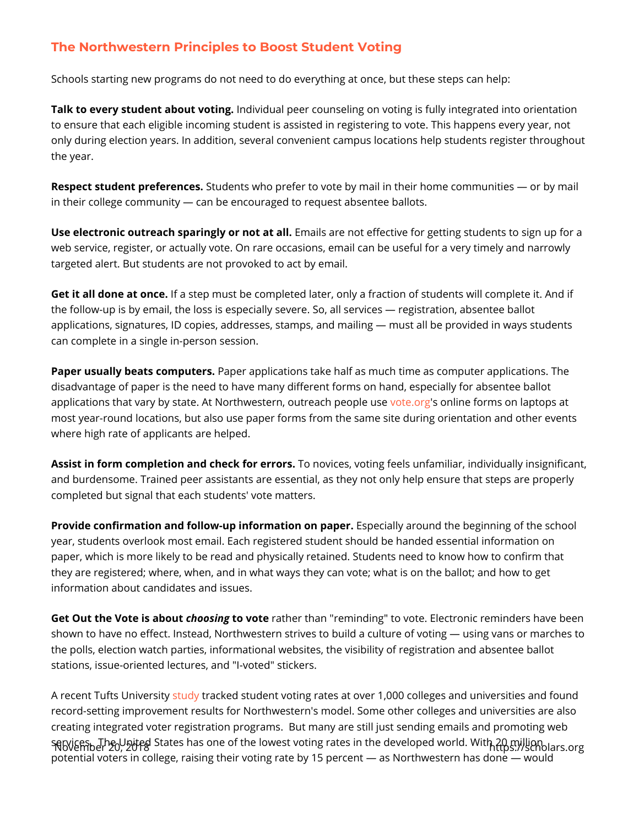## The Northwestern Principles to Boost Student Voting

Schools starting new programs do not need to do everything at once, but these

Talk to every student aboundvotiding. I peer counseling on voting is fully integrate to ensure that each eligible incoming student is assisted in registering to vote only during election years. In addition, several convenient campus locations h the year.

Respect student prefeGrteundceenst.s who prefer to vote by mail in their home commun in their college community can be encouraged to request absentee ballots.

Use electronic outreach sparingly meains at and teffective for getting students t web service, register, or actually vote. On rare occasions, email can be useful targeted alert. But students are not provoked to act by email.

Get it all done at foancsetep must be completed later, only a fraction of students the follow-up is by email, the loss is especially severe. So, all services regi applications, signatures, ID copies, addresses, stamps, and mailing must all can complete in a single in-person session.

Paper usually beats componet applications take half as much time as computer a disadvantage of paper is the need to have many different forms on hand, esped applications that vary by state. At Northwestew onteo outsige abilinepelophes wonelaptops a most year-round locations, but also use paper forms from the same site during where high rate of applicants are helped.

Assist in form completion and chelock novie erso, rspoting feels unfamiliar, individual and burdensome. Trained peer assistants are essential, as they not only help  $\epsilon$ completed but signal that each students' vote matters.

Provide confirmation and follow-up informEastpenciahly apeund the beginning of th year, students overlook most email. Each registered student should be handed paper, which is more likely to be read and physically retained. Students need they are registered; where, when, and in what ways they can vote; what is on t information about candidates and issues.

Get Out the Vote is habos wing votreather than "reminding" to vote. Electronic remin shown to have no effect. Instead, Northwestern strives to build a culture of vo the polls, election watch parties, informational websites, the visibility of regis stations, issue-oriented lectures, and "I-voted" stickers.

A recent Tufts [Unive](https://idhe.tufts.edu/nslve)lts atoked [stud](https://idhe.tufts.edu/nslve)ent voting rates at over 1,000 colleges and university and the student voting rates and the recent  $\sim$ record-setting improvement results for Northwestern's model. Some other colle creating integrated voter registration programs. But many are still just sendin November  $\frac{1}{2}$ be  $\frac{1}{2}$ nibed States has one of the lowest voting rates in steholarse band potential voters in college, raising their voting rate by 15 percent as Northwe